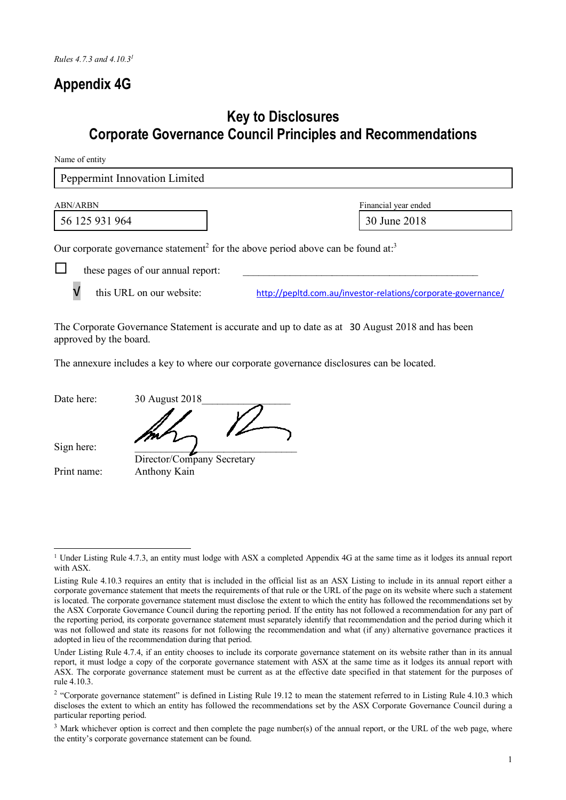## **Appendix 4G**

## **Key to Disclosures Corporate Governance Council Principles and Recommendations**

Name of entity

| Peppermint Innovation Limited                                                                                                                                                                                                              |                      |
|--------------------------------------------------------------------------------------------------------------------------------------------------------------------------------------------------------------------------------------------|----------------------|
| <b>ABN/ARBN</b>                                                                                                                                                                                                                            | Financial year ended |
| 56 125 931 964                                                                                                                                                                                                                             | 30 June 2018         |
| Our corporate governance statement <sup>2</sup> for the above period above can be found at: <sup>3</sup><br>these pages of our annual report:<br>this URL on our website:<br>http://pepltd.com.au/investor-relations/corporate-governance/ |                      |

The Corporate Governance Statement is accurate and up to date as at 30 August 2018 and has been approved by the board.

The annexure includes a key to where our corporate governance disclosures can be located.

Date here: 30 August 2018

Sign here:

Director/Company Secretary Print name: Anthony Kain

<sup>&</sup>lt;sup>1</sup> Under Listing Rule 4.7.3, an entity must lodge with ASX a completed Appendix 4G at the same time as it lodges its annual report with ASX.

Listing Rule 4.10.3 requires an entity that is included in the official list as an ASX Listing to include in its annual report either a corporate governance statement that meets the requirements of that rule or the URL of the page on its website where such a statement is located. The corporate governance statement must disclose the extent to which the entity has followed the recommendations set by the ASX Corporate Governance Council during the reporting period. If the entity has not followed a recommendation for any part of the reporting period, its corporate governance statement must separately identify that recommendation and the period during which it was not followed and state its reasons for not following the recommendation and what (if any) alternative governance practices it adopted in lieu of the recommendation during that period.

Under Listing Rule 4.7.4, if an entity chooses to include its corporate governance statement on its website rather than in its annual report, it must lodge a copy of the corporate governance statement with ASX at the same time as it lodges its annual report with ASX. The corporate governance statement must be current as at the effective date specified in that statement for the purposes of rule 4.10.3.

<sup>&</sup>lt;sup>2</sup> "Corporate governance statement" is defined in Listing Rule 19.12 to mean the statement referred to in Listing Rule 4.10.3 which discloses the extent to which an entity has followed the recommendations set by the ASX Corporate Governance Council during a particular reporting period.

<sup>&</sup>lt;sup>3</sup> Mark whichever option is correct and then complete the page number(s) of the annual report, or the URL of the web page, where the entity's corporate governance statement can be found.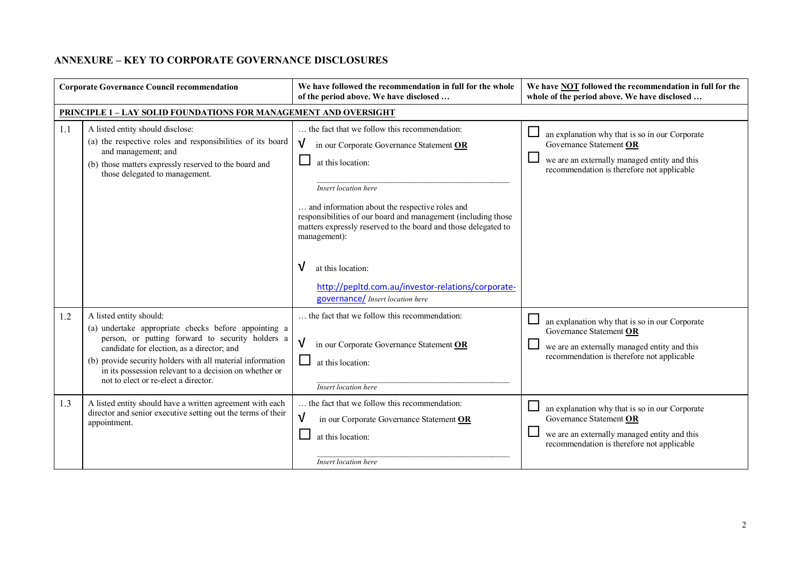## **ANNEXURE – KEY TO CORPORATE GOVERNANCE DISCLOSURES**

|            | <b>Corporate Governance Council recommendation</b>                                                                                                                                                                                                                                                                                                                                                                                                                             | We have followed the recommendation in full for the whole<br>of the period above. We have disclosed                                                                                                                                                                                                                                                                                                                                                                 | We have NOT followed the recommendation in full for the<br>whole of the period above. We have disclosed                                                                                                                                              |
|------------|--------------------------------------------------------------------------------------------------------------------------------------------------------------------------------------------------------------------------------------------------------------------------------------------------------------------------------------------------------------------------------------------------------------------------------------------------------------------------------|---------------------------------------------------------------------------------------------------------------------------------------------------------------------------------------------------------------------------------------------------------------------------------------------------------------------------------------------------------------------------------------------------------------------------------------------------------------------|------------------------------------------------------------------------------------------------------------------------------------------------------------------------------------------------------------------------------------------------------|
|            | <b>PRINCIPLE 1 - LAY SOLID FOUNDATIONS FOR MANAGEMENT AND OVERSIGHT</b>                                                                                                                                                                                                                                                                                                                                                                                                        |                                                                                                                                                                                                                                                                                                                                                                                                                                                                     |                                                                                                                                                                                                                                                      |
| 1.1        | A listed entity should disclose:<br>(a) the respective roles and responsibilities of its board<br>and management; and<br>(b) those matters expressly reserved to the board and<br>those delegated to management.                                                                                                                                                                                                                                                               | the fact that we follow this recommendation:<br>V<br>in our Corporate Governance Statement OR<br>at this location:<br>Insert location here<br>and information about the respective roles and<br>responsibilities of our board and management (including those<br>matters expressly reserved to the board and those delegated to<br>management):<br>V<br>at this location:<br>http://pepltd.com.au/investor-relations/corporate-<br>governance/ Insert location here | an explanation why that is so in our Corporate<br>Governance Statement OR<br>we are an externally managed entity and this<br>recommendation is therefore not applicable                                                                              |
| 1.2<br>1.3 | A listed entity should:<br>(a) undertake appropriate checks before appointing a<br>person, or putting forward to security holders a<br>candidate for election, as a director; and<br>(b) provide security holders with all material information<br>in its possession relevant to a decision on whether or<br>not to elect or re-elect a director.<br>A listed entity should have a written agreement with each<br>director and senior executive setting out the terms of their | the fact that we follow this recommendation:<br>V<br>in our Corporate Governance Statement OR<br>at this location:<br>Insert location here<br>the fact that we follow this recommendation:<br>V                                                                                                                                                                                                                                                                     | an explanation why that is so in our Corporate<br>Governance Statement OR<br>we are an externally managed entity and this<br>recommendation is therefore not applicable<br>an explanation why that is so in our Corporate<br>Governance Statement OR |
|            | appointment.                                                                                                                                                                                                                                                                                                                                                                                                                                                                   | in our Corporate Governance Statement OR<br>at this location:<br>Insert location here                                                                                                                                                                                                                                                                                                                                                                               | $\Box$<br>we are an externally managed entity and this<br>recommendation is therefore not applicable                                                                                                                                                 |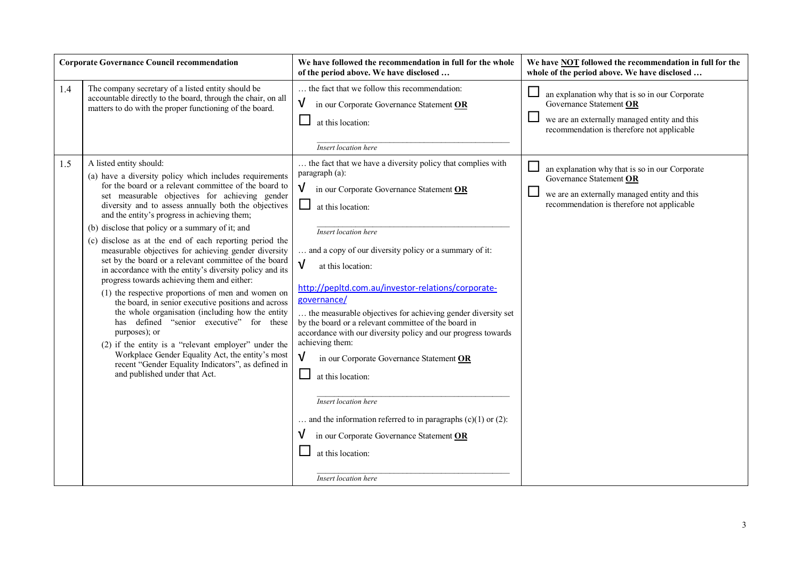| <b>Corporate Governance Council recommendation</b> |                                                                                                                                                                                                                                                                                                                                                                                                                                                                                                                                                                                                                                                                                                                                                                                                                                                                                                                                                                                                                                                                                   | We have followed the recommendation in full for the whole<br>of the period above. We have disclosed                                                                                                                                                                                                                                                                                                                                                                                                                                                                                                                                                                                                                                                                                                                                                        | We have <b>NOT</b> followed the recommendation in full for the<br>whole of the period above. We have disclosed                                                          |
|----------------------------------------------------|-----------------------------------------------------------------------------------------------------------------------------------------------------------------------------------------------------------------------------------------------------------------------------------------------------------------------------------------------------------------------------------------------------------------------------------------------------------------------------------------------------------------------------------------------------------------------------------------------------------------------------------------------------------------------------------------------------------------------------------------------------------------------------------------------------------------------------------------------------------------------------------------------------------------------------------------------------------------------------------------------------------------------------------------------------------------------------------|------------------------------------------------------------------------------------------------------------------------------------------------------------------------------------------------------------------------------------------------------------------------------------------------------------------------------------------------------------------------------------------------------------------------------------------------------------------------------------------------------------------------------------------------------------------------------------------------------------------------------------------------------------------------------------------------------------------------------------------------------------------------------------------------------------------------------------------------------------|-------------------------------------------------------------------------------------------------------------------------------------------------------------------------|
| 1.4                                                | The company secretary of a listed entity should be<br>accountable directly to the board, through the chair, on all<br>matters to do with the proper functioning of the board.                                                                                                                                                                                                                                                                                                                                                                                                                                                                                                                                                                                                                                                                                                                                                                                                                                                                                                     | the fact that we follow this recommendation:<br>$\sqrt{ }$<br>in our Corporate Governance Statement OR<br>at this location:<br><b>Insert</b> location here                                                                                                                                                                                                                                                                                                                                                                                                                                                                                                                                                                                                                                                                                                 | an explanation why that is so in our Corporate<br>Governance Statement OR<br>we are an externally managed entity and this<br>recommendation is therefore not applicable |
| 1.5                                                | A listed entity should:<br>(a) have a diversity policy which includes requirements<br>for the board or a relevant committee of the board to<br>set measurable objectives for achieving gender<br>diversity and to assess annually both the objectives<br>and the entity's progress in achieving them;<br>(b) disclose that policy or a summary of it; and<br>(c) disclose as at the end of each reporting period the<br>measurable objectives for achieving gender diversity<br>set by the board or a relevant committee of the board<br>in accordance with the entity's diversity policy and its<br>progress towards achieving them and either:<br>(1) the respective proportions of men and women on<br>the board, in senior executive positions and across<br>the whole organisation (including how the entity<br>has defined "senior executive" for these<br>purposes); or<br>(2) if the entity is a "relevant employer" under the<br>Workplace Gender Equality Act, the entity's most<br>recent "Gender Equality Indicators", as defined in<br>and published under that Act. | the fact that we have a diversity policy that complies with<br>paragraph (a):<br>$\sqrt{ }$<br>in our Corporate Governance Statement OR<br>ப<br>at this location:<br><b>Insert location here</b><br>and a copy of our diversity policy or a summary of it:<br>$\sqrt{ }$<br>at this location:<br>http://pepltd.com.au/investor-relations/corporate-<br>governance/<br>the measurable objectives for achieving gender diversity set<br>by the board or a relevant committee of the board in<br>accordance with our diversity policy and our progress towards<br>achieving them:<br>$\sqrt{ }$<br>in our Corporate Governance Statement OR<br>at this location:<br><b>Insert location here</b><br>and the information referred to in paragraphs $(c)(1)$ or $(2)$ :<br>in our Corporate Governance Statement OR<br>at this location:<br>Insert location here | an explanation why that is so in our Corporate<br>Governance Statement OR<br>we are an externally managed entity and this<br>recommendation is therefore not applicable |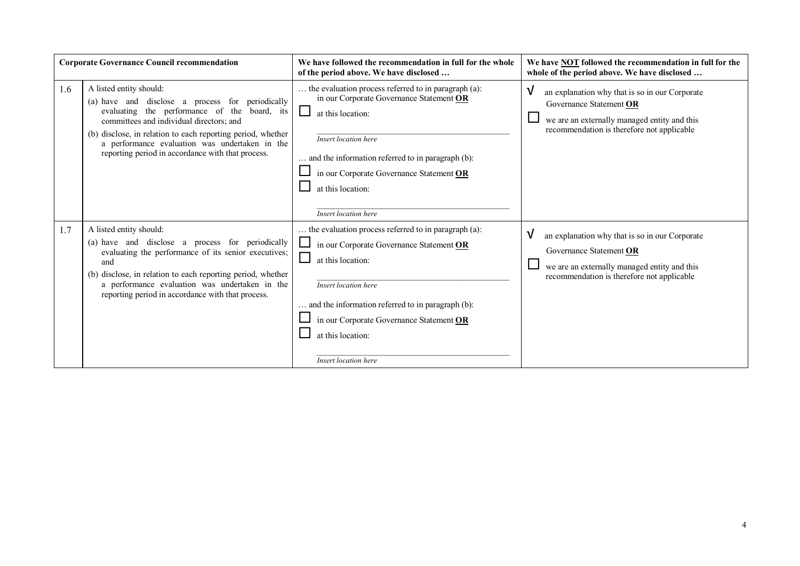| <b>Corporate Governance Council recommendation</b> |                                                                                                                                                                                                                                                                                                                                               | We have followed the recommendation in full for the whole<br>of the period above. We have disclosed                                                                                                                                                                                                             | We have <b>NOT</b> followed the recommendation in full for the<br>whole of the period above. We have disclosed                                                               |
|----------------------------------------------------|-----------------------------------------------------------------------------------------------------------------------------------------------------------------------------------------------------------------------------------------------------------------------------------------------------------------------------------------------|-----------------------------------------------------------------------------------------------------------------------------------------------------------------------------------------------------------------------------------------------------------------------------------------------------------------|------------------------------------------------------------------------------------------------------------------------------------------------------------------------------|
| 1.6                                                | A listed entity should:<br>(a) have and disclose a process for periodically<br>evaluating the performance of the board, its<br>committees and individual directors; and<br>(b) disclose, in relation to each reporting period, whether<br>a performance evaluation was undertaken in the<br>reporting period in accordance with that process. | the evaluation process referred to in paragraph (a):<br>in our Corporate Governance Statement OR<br>ப<br>at this location:<br>Insert location here<br>and the information referred to in paragraph (b):<br>in our Corporate Governance Statement OR<br>at this location:<br>Insert location here                | V<br>an explanation why that is so in our Corporate<br>Governance Statement OR<br>we are an externally managed entity and this<br>recommendation is therefore not applicable |
| 1.7                                                | A listed entity should:<br>(a) have and disclose a process for periodically<br>evaluating the performance of its senior executives;<br>and<br>(b) disclose, in relation to each reporting period, whether<br>a performance evaluation was undertaken in the<br>reporting period in accordance with that process.                              | the evaluation process referred to in paragraph (a):<br>$\Box$ in our Corporate Governance Statement $\overline{OR}$<br>at this location:<br>Insert location here<br>and the information referred to in paragraph (b):<br>in our Corporate Governance Statement OR<br>at this location:<br>Insert location here | V<br>an explanation why that is so in our Corporate<br>Governance Statement OR<br>we are an externally managed entity and this<br>recommendation is therefore not applicable |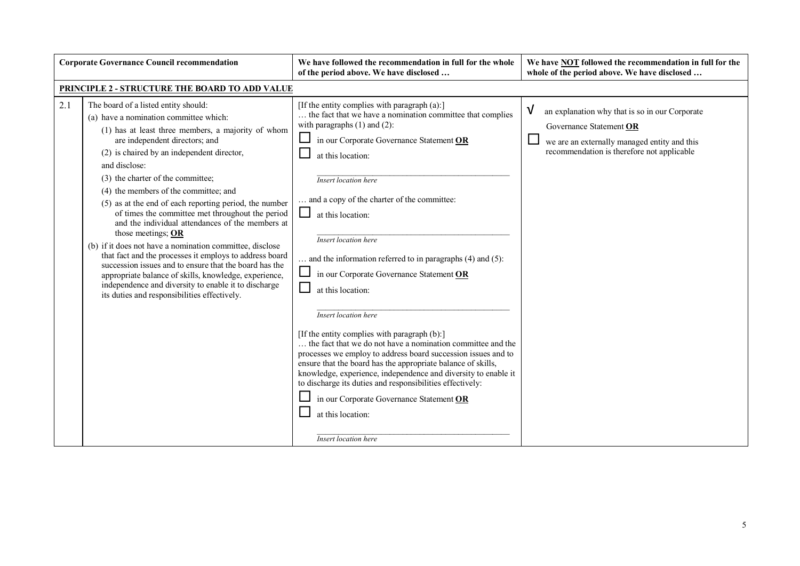| <b>Corporate Governance Council recommendation</b> |                                                                                                                                                                                                                                                                                                                                                                                                                                                                                                                                                                                                                                                                                                                                                                                                                                                                 | We have followed the recommendation in full for the whole<br>of the period above. We have disclosed                                                                                                                                                                                                                                                                                                                                                                                                                                                                                                                                                                                                                                                                                                                                                                                                                                                                                                         | We have NOT followed the recommendation in full for the<br>whole of the period above. We have disclosed                                                                                              |
|----------------------------------------------------|-----------------------------------------------------------------------------------------------------------------------------------------------------------------------------------------------------------------------------------------------------------------------------------------------------------------------------------------------------------------------------------------------------------------------------------------------------------------------------------------------------------------------------------------------------------------------------------------------------------------------------------------------------------------------------------------------------------------------------------------------------------------------------------------------------------------------------------------------------------------|-------------------------------------------------------------------------------------------------------------------------------------------------------------------------------------------------------------------------------------------------------------------------------------------------------------------------------------------------------------------------------------------------------------------------------------------------------------------------------------------------------------------------------------------------------------------------------------------------------------------------------------------------------------------------------------------------------------------------------------------------------------------------------------------------------------------------------------------------------------------------------------------------------------------------------------------------------------------------------------------------------------|------------------------------------------------------------------------------------------------------------------------------------------------------------------------------------------------------|
|                                                    | PRINCIPLE 2 - STRUCTURE THE BOARD TO ADD VALUE                                                                                                                                                                                                                                                                                                                                                                                                                                                                                                                                                                                                                                                                                                                                                                                                                  |                                                                                                                                                                                                                                                                                                                                                                                                                                                                                                                                                                                                                                                                                                                                                                                                                                                                                                                                                                                                             |                                                                                                                                                                                                      |
| 2.1                                                | The board of a listed entity should:<br>(a) have a nomination committee which:<br>(1) has at least three members, a majority of whom<br>are independent directors; and<br>(2) is chaired by an independent director,<br>and disclose:<br>(3) the charter of the committee;<br>(4) the members of the committee; and<br>(5) as at the end of each reporting period, the number<br>of times the committee met throughout the period<br>and the individual attendances of the members at<br>those meetings; $OR$<br>(b) if it does not have a nomination committee, disclose<br>that fact and the processes it employs to address board<br>succession issues and to ensure that the board has the<br>appropriate balance of skills, knowledge, experience,<br>independence and diversity to enable it to discharge<br>its duties and responsibilities effectively. | [If the entity complies with paragraph (a):]<br>the fact that we have a nomination committee that complies<br>with paragraphs $(1)$ and $(2)$ :<br>in our Corporate Governance Statement OR<br>at this location:<br><b>Insert location here</b><br>and a copy of the charter of the committee:<br>$\Box$<br>at this location:<br><b>Insert location here</b><br>$\ldots$ and the information referred to in paragraphs (4) and (5):<br>in our Corporate Governance Statement OR<br>at this location:<br><b>Insert location here</b><br>[If the entity complies with paragraph (b):]<br>the fact that we do not have a nomination committee and the<br>processes we employ to address board succession issues and to<br>ensure that the board has the appropriate balance of skills,<br>knowledge, experience, independence and diversity to enable it<br>to discharge its duties and responsibilities effectively:<br>in our Corporate Governance Statement OR<br>at this location:<br>Insert location here | $\boldsymbol{\mathsf{V}}$<br>an explanation why that is so in our Corporate<br>Governance Statement OR<br>we are an externally managed entity and this<br>recommendation is therefore not applicable |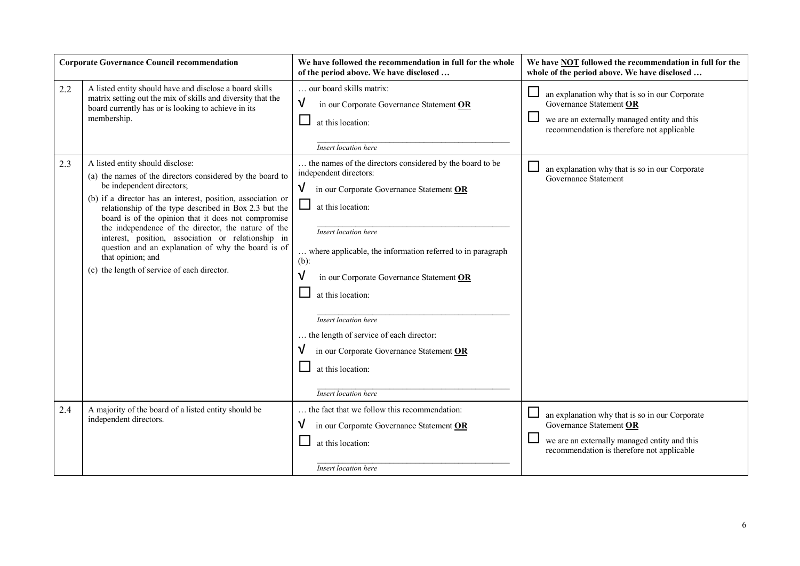|     | <b>Corporate Governance Council recommendation</b>                                                                                                                                                                                                                                                                                                                                                                                                                                                                                               | We have followed the recommendation in full for the whole<br>of the period above. We have disclosed                                                                                                                                                                                                                                                                                                                                                                                                    | We have <b>NOT</b> followed the recommendation in full for the<br>whole of the period above. We have disclosed                                                          |
|-----|--------------------------------------------------------------------------------------------------------------------------------------------------------------------------------------------------------------------------------------------------------------------------------------------------------------------------------------------------------------------------------------------------------------------------------------------------------------------------------------------------------------------------------------------------|--------------------------------------------------------------------------------------------------------------------------------------------------------------------------------------------------------------------------------------------------------------------------------------------------------------------------------------------------------------------------------------------------------------------------------------------------------------------------------------------------------|-------------------------------------------------------------------------------------------------------------------------------------------------------------------------|
| 2.2 | A listed entity should have and disclose a board skills<br>matrix setting out the mix of skills and diversity that the<br>board currently has or is looking to achieve in its<br>membership.                                                                                                                                                                                                                                                                                                                                                     | our board skills matrix:<br>$\sqrt{ }$<br>in our Corporate Governance Statement OR<br>at this location:<br><b>Insert</b> location here                                                                                                                                                                                                                                                                                                                                                                 | an explanation why that is so in our Corporate<br>Governance Statement OR<br>we are an externally managed entity and this<br>recommendation is therefore not applicable |
| 2.3 | A listed entity should disclose:<br>(a) the names of the directors considered by the board to<br>be independent directors;<br>(b) if a director has an interest, position, association or<br>relationship of the type described in Box 2.3 but the<br>board is of the opinion that it does not compromise<br>the independence of the director, the nature of the<br>interest, position, association or relationship in<br>question and an explanation of why the board is of<br>that opinion; and<br>(c) the length of service of each director. | the names of the directors considered by the board to be<br>independent directors:<br>$\mathsf{V}$<br>in our Corporate Governance Statement OR<br>ப<br>at this location:<br>Insert location here<br>where applicable, the information referred to in paragraph<br>$(b)$ :<br>in our Corporate Governance Statement OR<br>at this location:<br>Insert location here<br>the length of service of each director:<br>in our Corporate Governance Statement OR<br>at this location:<br>Insert location here | an explanation why that is so in our Corporate<br>Governance Statement                                                                                                  |
| 2.4 | A majority of the board of a listed entity should be<br>independent directors.                                                                                                                                                                                                                                                                                                                                                                                                                                                                   | the fact that we follow this recommendation:<br>in our Corporate Governance Statement OR<br>V<br>at this location:<br><b>Insert location here</b>                                                                                                                                                                                                                                                                                                                                                      | an explanation why that is so in our Corporate<br>Governance Statement OR<br>we are an externally managed entity and this<br>recommendation is therefore not applicable |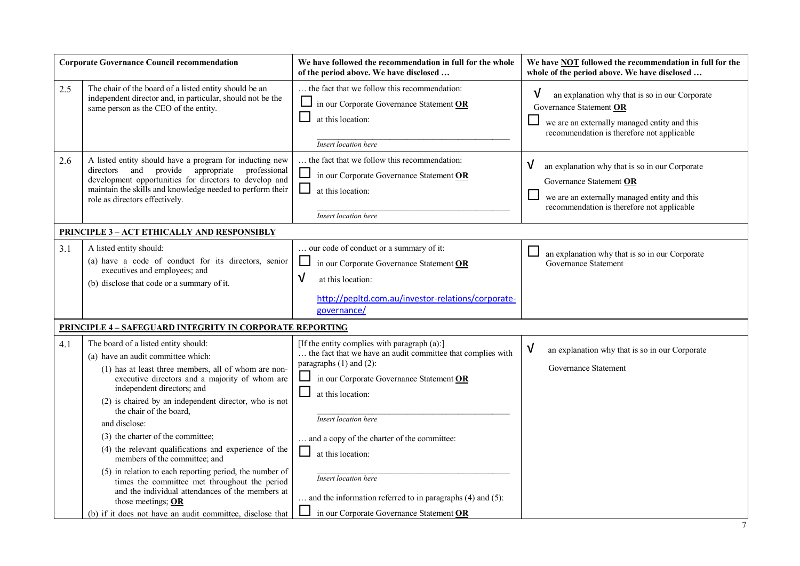|     | <b>Corporate Governance Council recommendation</b>                                                                                                                                                                                                                                                                                                                                                                                                                                                                                                                                                                                                                                                        | We have followed the recommendation in full for the whole<br>of the period above. We have disclosed                                                                                                                                                                                                                                                                                                                                                                                 | We have <b>NOT</b> followed the recommendation in full for the<br>whole of the period above. We have disclosed                                                                           |
|-----|-----------------------------------------------------------------------------------------------------------------------------------------------------------------------------------------------------------------------------------------------------------------------------------------------------------------------------------------------------------------------------------------------------------------------------------------------------------------------------------------------------------------------------------------------------------------------------------------------------------------------------------------------------------------------------------------------------------|-------------------------------------------------------------------------------------------------------------------------------------------------------------------------------------------------------------------------------------------------------------------------------------------------------------------------------------------------------------------------------------------------------------------------------------------------------------------------------------|------------------------------------------------------------------------------------------------------------------------------------------------------------------------------------------|
| 2.5 | The chair of the board of a listed entity should be an<br>independent director and, in particular, should not be the<br>same person as the CEO of the entity.                                                                                                                                                                                                                                                                                                                                                                                                                                                                                                                                             | the fact that we follow this recommendation:<br>$\Box$ in our Corporate Governance Statement OR<br>$\Box$<br>at this location:<br>Insert location here                                                                                                                                                                                                                                                                                                                              | V<br>an explanation why that is so in our Corporate<br>Governance Statement OR<br>$\sqcup$<br>we are an externally managed entity and this<br>recommendation is therefore not applicable |
| 2.6 | A listed entity should have a program for inducting new<br>provide appropriate<br>directors and<br>professional<br>development opportunities for directors to develop and<br>maintain the skills and knowledge needed to perform their<br>role as directors effectively.                                                                                                                                                                                                                                                                                                                                                                                                                                  | the fact that we follow this recommendation:<br>$\Box$<br>in our Corporate Governance Statement OR<br>ப<br>at this location:<br><b>Insert location here</b>                                                                                                                                                                                                                                                                                                                         | V<br>an explanation why that is so in our Corporate<br>Governance Statement OR<br>⊔<br>we are an externally managed entity and this<br>recommendation is therefore not applicable        |
|     | <b>PRINCIPLE 3 - ACT ETHICALLY AND RESPONSIBLY</b>                                                                                                                                                                                                                                                                                                                                                                                                                                                                                                                                                                                                                                                        |                                                                                                                                                                                                                                                                                                                                                                                                                                                                                     |                                                                                                                                                                                          |
| 3.1 | A listed entity should:<br>(a) have a code of conduct for its directors, senior<br>executives and employees; and<br>(b) disclose that code or a summary of it.                                                                                                                                                                                                                                                                                                                                                                                                                                                                                                                                            | our code of conduct or a summary of it:<br>$\Box$<br>in our Corporate Governance Statement OR<br>$\sqrt{ }$<br>at this location:<br>http://pepltd.com.au/investor-relations/corporate-<br>governance/                                                                                                                                                                                                                                                                               | ⊔<br>an explanation why that is so in our Corporate<br>Governance Statement                                                                                                              |
|     | <b>PRINCIPLE 4 - SAFEGUARD INTEGRITY IN CORPORATE REPORTING</b>                                                                                                                                                                                                                                                                                                                                                                                                                                                                                                                                                                                                                                           |                                                                                                                                                                                                                                                                                                                                                                                                                                                                                     |                                                                                                                                                                                          |
| 4.1 | The board of a listed entity should:<br>(a) have an audit committee which:<br>(1) has at least three members, all of whom are non-<br>executive directors and a majority of whom are<br>independent directors; and<br>(2) is chaired by an independent director, who is not<br>the chair of the board,<br>and disclose:<br>(3) the charter of the committee;<br>(4) the relevant qualifications and experience of the<br>members of the committee; and<br>(5) in relation to each reporting period, the number of<br>times the committee met throughout the period<br>and the individual attendances of the members at<br>those meetings; OR<br>(b) if it does not have an audit committee, disclose that | [If the entity complies with paragraph (a):]<br>the fact that we have an audit committee that complies with<br>paragraphs (1) and (2):<br>$\Box$<br>in our Corporate Governance Statement OR<br>$\Box$<br>at this location:<br>Insert location here<br>and a copy of the charter of the committee:<br>$\Box$<br>at this location:<br><b>Insert location here</b><br>$\ldots$ and the information referred to in paragraphs (4) and (5):<br>in our Corporate Governance Statement OR | V<br>an explanation why that is so in our Corporate<br>Governance Statement                                                                                                              |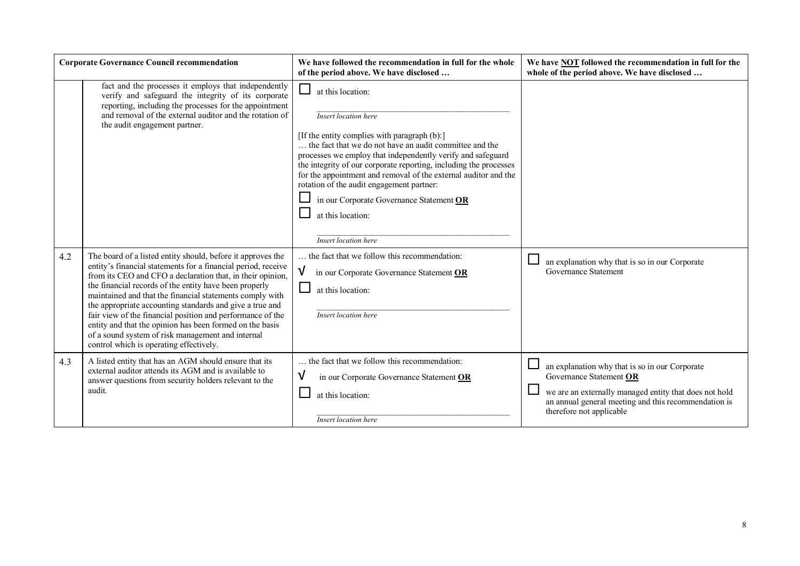|     | <b>Corporate Governance Council recommendation</b>                                                                                                                                                                                                                                                                                                                                                                                                                                                                                                                                                     | We have followed the recommendation in full for the whole<br>of the period above. We have disclosed                                                                                                                                                                                                                                                                                                                                                                                                         | We have NOT followed the recommendation in full for the<br>whole of the period above. We have disclosed                                                                                                                 |
|-----|--------------------------------------------------------------------------------------------------------------------------------------------------------------------------------------------------------------------------------------------------------------------------------------------------------------------------------------------------------------------------------------------------------------------------------------------------------------------------------------------------------------------------------------------------------------------------------------------------------|-------------------------------------------------------------------------------------------------------------------------------------------------------------------------------------------------------------------------------------------------------------------------------------------------------------------------------------------------------------------------------------------------------------------------------------------------------------------------------------------------------------|-------------------------------------------------------------------------------------------------------------------------------------------------------------------------------------------------------------------------|
|     | fact and the processes it employs that independently<br>verify and safeguard the integrity of its corporate<br>reporting, including the processes for the appointment<br>and removal of the external auditor and the rotation of<br>the audit engagement partner.                                                                                                                                                                                                                                                                                                                                      | $\Box$<br>at this location:<br>Insert location here<br>[If the entity complies with paragraph (b):]<br>the fact that we do not have an audit committee and the<br>processes we employ that independently verify and safeguard<br>the integrity of our corporate reporting, including the processes<br>for the appointment and removal of the external auditor and the<br>rotation of the audit engagement partner:<br>in our Corporate Governance Statement OR<br>at this location:<br>Insert location here |                                                                                                                                                                                                                         |
| 4.2 | The board of a listed entity should, before it approves the<br>entity's financial statements for a financial period, receive<br>from its CEO and CFO a declaration that, in their opinion,<br>the financial records of the entity have been properly<br>maintained and that the financial statements comply with<br>the appropriate accounting standards and give a true and<br>fair view of the financial position and performance of the<br>entity and that the opinion has been formed on the basis<br>of a sound system of risk management and internal<br>control which is operating effectively. | the fact that we follow this recommendation:<br>in our Corporate Governance Statement OR<br>at this location:<br>Insert location here                                                                                                                                                                                                                                                                                                                                                                       | an explanation why that is so in our Corporate<br>Governance Statement                                                                                                                                                  |
| 4.3 | A listed entity that has an AGM should ensure that its<br>external auditor attends its AGM and is available to<br>answer questions from security holders relevant to the<br>audit.                                                                                                                                                                                                                                                                                                                                                                                                                     | the fact that we follow this recommendation:<br>V<br>in our Corporate Governance Statement OR<br>at this location:<br><b>Insert location here</b>                                                                                                                                                                                                                                                                                                                                                           | an explanation why that is so in our Corporate<br>Governance Statement OR<br>we are an externally managed entity that does not hold<br>an annual general meeting and this recommendation is<br>therefore not applicable |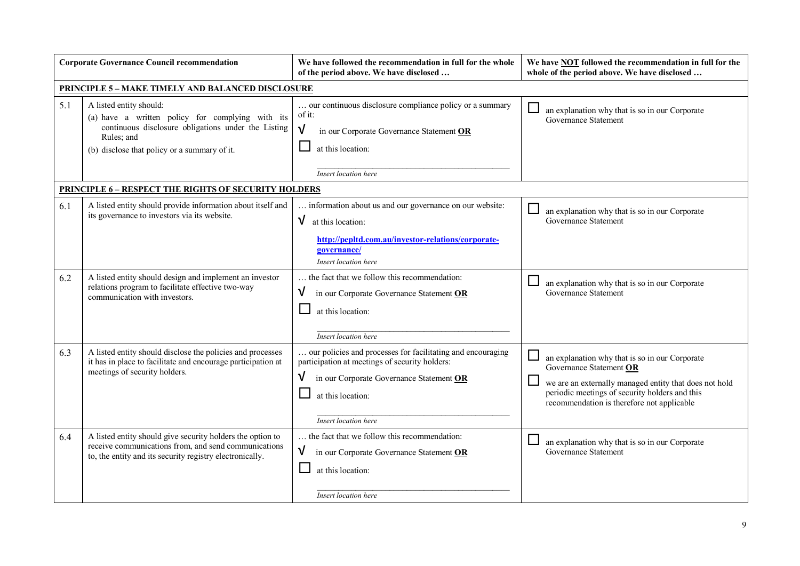|     | <b>Corporate Governance Council recommendation</b>                                                                                                                                               | We have followed the recommendation in full for the whole<br>of the period above. We have disclosed                                                                                                         | We have NOT followed the recommendation in full for the<br>whole of the period above. We have disclosed                                                                                                                             |
|-----|--------------------------------------------------------------------------------------------------------------------------------------------------------------------------------------------------|-------------------------------------------------------------------------------------------------------------------------------------------------------------------------------------------------------------|-------------------------------------------------------------------------------------------------------------------------------------------------------------------------------------------------------------------------------------|
|     | <b>PRINCIPLE 5 - MAKE TIMELY AND BALANCED DISCLOSURE</b>                                                                                                                                         |                                                                                                                                                                                                             |                                                                                                                                                                                                                                     |
| 5.1 | A listed entity should:<br>(a) have a written policy for complying with its<br>continuous disclosure obligations under the Listing<br>Rules; and<br>(b) disclose that policy or a summary of it. | our continuous disclosure compliance policy or a summary<br>of it:<br>√<br>in our Corporate Governance Statement OR<br>at this location:<br>Insert location here                                            | an explanation why that is so in our Corporate<br>Governance Statement                                                                                                                                                              |
|     | <b>PRINCIPLE 6 - RESPECT THE RIGHTS OF SECURITY HOLDERS</b>                                                                                                                                      |                                                                                                                                                                                                             |                                                                                                                                                                                                                                     |
| 6.1 | A listed entity should provide information about itself and<br>its governance to investors via its website.                                                                                      | information about us and our governance on our website:<br>$\sqrt{\phantom{a}}$ at this location:<br>http://pepltd.com.au/investor-relations/corporate-<br>governance/<br>Insert location here              | an explanation why that is so in our Corporate<br>Governance Statement                                                                                                                                                              |
| 6.2 | A listed entity should design and implement an investor<br>relations program to facilitate effective two-way<br>communication with investors.                                                    | the fact that we follow this recommendation:<br>V<br>in our Corporate Governance Statement OR<br>at this location:<br>Insert location here                                                                  | an explanation why that is so in our Corporate<br>Governance Statement                                                                                                                                                              |
| 6.3 | A listed entity should disclose the policies and processes<br>it has in place to facilitate and encourage participation at<br>meetings of security holders.                                      | our policies and processes for facilitating and encouraging<br>participation at meetings of security holders:<br>V<br>in our Corporate Governance Statement OR<br>at this location:<br>Insert location here | an explanation why that is so in our Corporate<br>Governance Statement OR<br>we are an externally managed entity that does not hold<br>periodic meetings of security holders and this<br>recommendation is therefore not applicable |
| 6.4 | A listed entity should give security holders the option to<br>receive communications from, and send communications<br>to, the entity and its security registry electronically.                   | the fact that we follow this recommendation:<br>$\sqrt{ }$<br>in our Corporate Governance Statement OR<br>at this location:<br><b>Insert</b> location here                                                  | an explanation why that is so in our Corporate<br>Governance Statement                                                                                                                                                              |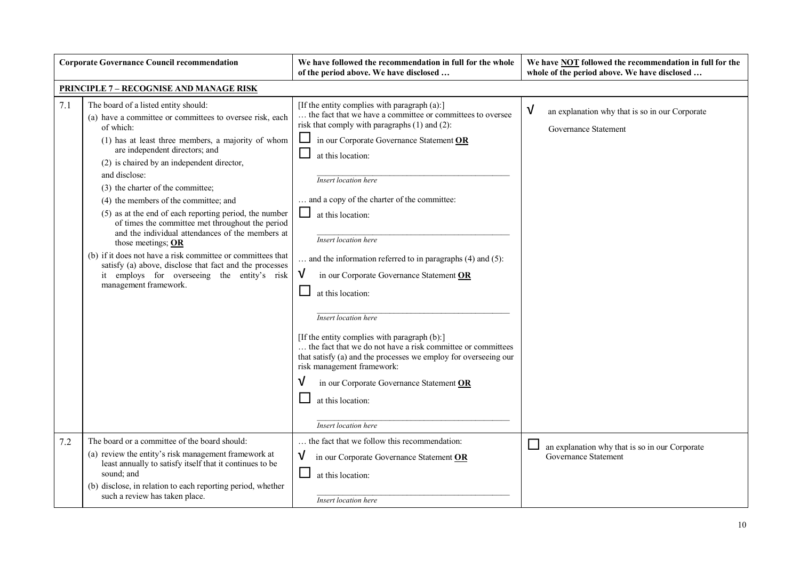|     | <b>Corporate Governance Council recommendation</b>                                                                                                                                                                                                                                                                                                                                                                                                                                                                                                                                                                                                                                                                                           | We have followed the recommendation in full for the whole<br>of the period above. We have disclosed                                                                                                                                                                                                                                                                                                                                                                                                                                                                                                                                                                                                                                                                                                                               | We have <b>NOT</b> followed the recommendation in full for the<br>whole of the period above. We have disclosed |
|-----|----------------------------------------------------------------------------------------------------------------------------------------------------------------------------------------------------------------------------------------------------------------------------------------------------------------------------------------------------------------------------------------------------------------------------------------------------------------------------------------------------------------------------------------------------------------------------------------------------------------------------------------------------------------------------------------------------------------------------------------------|-----------------------------------------------------------------------------------------------------------------------------------------------------------------------------------------------------------------------------------------------------------------------------------------------------------------------------------------------------------------------------------------------------------------------------------------------------------------------------------------------------------------------------------------------------------------------------------------------------------------------------------------------------------------------------------------------------------------------------------------------------------------------------------------------------------------------------------|----------------------------------------------------------------------------------------------------------------|
|     | <b>PRINCIPLE 7 - RECOGNISE AND MANAGE RISK</b>                                                                                                                                                                                                                                                                                                                                                                                                                                                                                                                                                                                                                                                                                               |                                                                                                                                                                                                                                                                                                                                                                                                                                                                                                                                                                                                                                                                                                                                                                                                                                   |                                                                                                                |
| 7.1 | The board of a listed entity should:<br>(a) have a committee or committees to oversee risk, each<br>of which:<br>(1) has at least three members, a majority of whom<br>are independent directors; and<br>(2) is chaired by an independent director,<br>and disclose:<br>(3) the charter of the committee;<br>(4) the members of the committee; and<br>(5) as at the end of each reporting period, the number<br>of times the committee met throughout the period<br>and the individual attendances of the members at<br>those meetings; OR<br>(b) if it does not have a risk committee or committees that<br>satisfy (a) above, disclose that fact and the processes<br>it employs for overseeing the entity's risk<br>management framework. | [If the entity complies with paragraph (a):]<br>the fact that we have a committee or committees to oversee<br>risk that comply with paragraphs $(1)$ and $(2)$ :<br>in our Corporate Governance Statement OR<br>at this location:<br><b>Insert location here</b><br>and a copy of the charter of the committee:<br>at this location:<br>Insert location here<br>and the information referred to in paragraphs (4) and (5):<br>V<br>in our Corporate Governance Statement OR<br>at this location:<br>Insert location here<br>[If the entity complies with paragraph (b):]<br>the fact that we do not have a risk committee or committees<br>that satisfy (a) and the processes we employ for overseeing our<br>risk management framework:<br>in our Corporate Governance Statement OR<br>at this location:<br>Insert location here | √<br>an explanation why that is so in our Corporate<br>Governance Statement                                    |
| 7.2 | The board or a committee of the board should:<br>(a) review the entity's risk management framework at<br>least annually to satisfy itself that it continues to be<br>sound; and<br>(b) disclose, in relation to each reporting period, whether<br>such a review has taken place.                                                                                                                                                                                                                                                                                                                                                                                                                                                             | the fact that we follow this recommendation:<br>$\sqrt{ }$<br>in our Corporate Governance Statement OR<br>$\Box$<br>at this location:<br>Insert location here                                                                                                                                                                                                                                                                                                                                                                                                                                                                                                                                                                                                                                                                     | an explanation why that is so in our Corporate<br>Governance Statement                                         |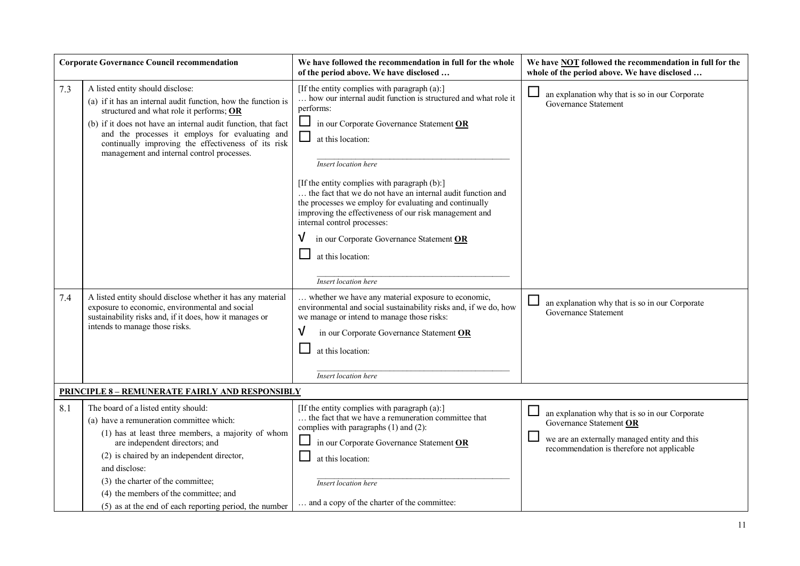|     | <b>Corporate Governance Council recommendation</b>                                                                                                                                                                                                                                                                                                                              | We have followed the recommendation in full for the whole<br>of the period above. We have disclosed                                                                                                                                                                                                                                                                                                                                                                                                                                                                                                                 | We have <b>NOT</b> followed the recommendation in full for the<br>whole of the period above. We have disclosed                                                          |
|-----|---------------------------------------------------------------------------------------------------------------------------------------------------------------------------------------------------------------------------------------------------------------------------------------------------------------------------------------------------------------------------------|---------------------------------------------------------------------------------------------------------------------------------------------------------------------------------------------------------------------------------------------------------------------------------------------------------------------------------------------------------------------------------------------------------------------------------------------------------------------------------------------------------------------------------------------------------------------------------------------------------------------|-------------------------------------------------------------------------------------------------------------------------------------------------------------------------|
| 7.3 | A listed entity should disclose:<br>(a) if it has an internal audit function, how the function is<br>structured and what role it performs; OR<br>(b) if it does not have an internal audit function, that fact<br>and the processes it employs for evaluating and<br>continually improving the effectiveness of its risk<br>management and internal control processes.          | [If the entity complies with paragraph (a):]<br>how our internal audit function is structured and what role it<br>performs:<br>⊔<br>in our Corporate Governance Statement OR<br>$\mathcal{L}_{\mathcal{A}}$<br>at this location:<br>Insert location here<br>[If the entity complies with paragraph (b):]<br>the fact that we do not have an internal audit function and<br>the processes we employ for evaluating and continually<br>improving the effectiveness of our risk management and<br>internal control processes:<br>in our Corporate Governance Statement OR<br>at this location:<br>Insert location here | an explanation why that is so in our Corporate<br>Governance Statement                                                                                                  |
| 7.4 | A listed entity should disclose whether it has any material<br>exposure to economic, environmental and social<br>sustainability risks and, if it does, how it manages or<br>intends to manage those risks.                                                                                                                                                                      | whether we have any material exposure to economic,<br>environmental and social sustainability risks and, if we do, how<br>we manage or intend to manage those risks:<br>V<br>in our Corporate Governance Statement OR<br>at this location:<br>Insert location here                                                                                                                                                                                                                                                                                                                                                  | an explanation why that is so in our Corporate<br><b>Governance Statement</b>                                                                                           |
|     | <b>PRINCIPLE 8 - REMUNERATE FAIRLY AND RESPONSIBLY</b>                                                                                                                                                                                                                                                                                                                          |                                                                                                                                                                                                                                                                                                                                                                                                                                                                                                                                                                                                                     |                                                                                                                                                                         |
| 8.1 | The board of a listed entity should:<br>(a) have a remuneration committee which:<br>(1) has at least three members, a majority of whom<br>are independent directors; and<br>(2) is chaired by an independent director,<br>and disclose:<br>(3) the charter of the committee;<br>(4) the members of the committee; and<br>(5) as at the end of each reporting period, the number | [If the entity complies with paragraph (a):]<br>the fact that we have a remuneration committee that<br>complies with paragraphs (1) and (2):<br>in our Corporate Governance Statement OR<br>at this location:<br>Insert location here<br>and a copy of the charter of the committee:                                                                                                                                                                                                                                                                                                                                | an explanation why that is so in our Corporate<br>Governance Statement OR<br>we are an externally managed entity and this<br>recommendation is therefore not applicable |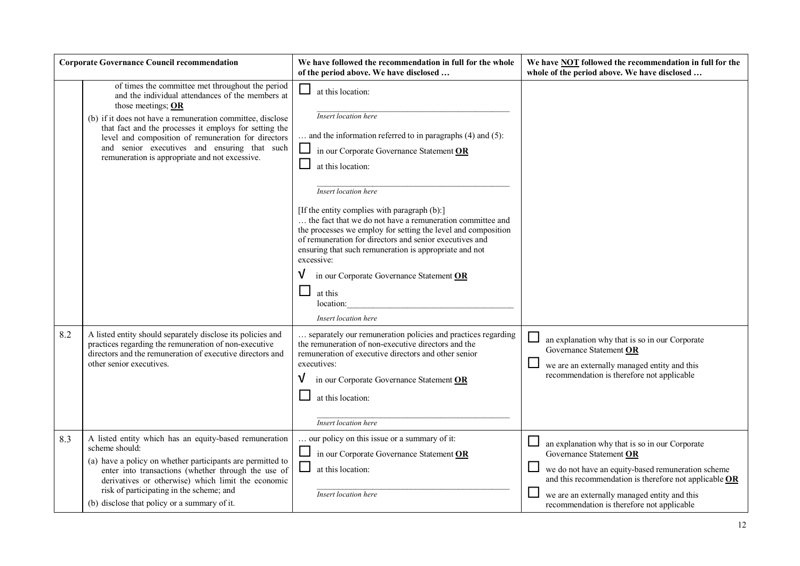|     | <b>Corporate Governance Council recommendation</b>                                                                                                                                                                                                                                                                                                                                                          | We have followed the recommendation in full for the whole<br>of the period above. We have disclosed                                                                                                                                                                                                                                                                                                                                                                                                                                                                                                                                              | We have <b>NOT</b> followed the recommendation in full for the<br>whole of the period above. We have disclosed                                                                                                                                                                          |
|-----|-------------------------------------------------------------------------------------------------------------------------------------------------------------------------------------------------------------------------------------------------------------------------------------------------------------------------------------------------------------------------------------------------------------|--------------------------------------------------------------------------------------------------------------------------------------------------------------------------------------------------------------------------------------------------------------------------------------------------------------------------------------------------------------------------------------------------------------------------------------------------------------------------------------------------------------------------------------------------------------------------------------------------------------------------------------------------|-----------------------------------------------------------------------------------------------------------------------------------------------------------------------------------------------------------------------------------------------------------------------------------------|
|     | of times the committee met throughout the period<br>and the individual attendances of the members at<br>those meetings; OR<br>(b) if it does not have a remuneration committee, disclose<br>that fact and the processes it employs for setting the<br>level and composition of remuneration for directors<br>and senior executives and ensuring that such<br>remuneration is appropriate and not excessive. | $\Box$<br>at this location:<br>Insert location here<br>and the information referred to in paragraphs $(4)$ and $(5)$ :<br>$\Box$<br>in our Corporate Governance Statement OR<br>at this location:<br>Insert location here<br>[If the entity complies with paragraph (b):]<br>the fact that we do not have a remuneration committee and<br>the processes we employ for setting the level and composition<br>of remuneration for directors and senior executives and<br>ensuring that such remuneration is appropriate and not<br>excessive:<br>in our Corporate Governance Statement OR<br>$\Box$<br>at this<br>location:<br>Insert location here |                                                                                                                                                                                                                                                                                         |
| 8.2 | A listed entity should separately disclose its policies and<br>practices regarding the remuneration of non-executive<br>directors and the remuneration of executive directors and<br>other senior executives.                                                                                                                                                                                               | separately our remuneration policies and practices regarding<br>the remuneration of non-executive directors and the<br>remuneration of executive directors and other senior<br>executives:<br>in our Corporate Governance Statement OR<br>at this location:<br>Insert location here                                                                                                                                                                                                                                                                                                                                                              | an explanation why that is so in our Corporate<br>Governance Statement OR<br>we are an externally managed entity and this<br>recommendation is therefore not applicable                                                                                                                 |
| 8.3 | A listed entity which has an equity-based remuneration<br>scheme should:<br>(a) have a policy on whether participants are permitted to<br>enter into transactions (whether through the use of<br>derivatives or otherwise) which limit the economic<br>risk of participating in the scheme; and<br>(b) disclose that policy or a summary of it.                                                             | our policy on this issue or a summary of it:<br>in our Corporate Governance Statement OR<br>$\Box$<br>at this location:<br>Insert location here                                                                                                                                                                                                                                                                                                                                                                                                                                                                                                  | an explanation why that is so in our Corporate<br>Governance Statement OR<br>we do not have an equity-based remuneration scheme<br>and this recommendation is therefore not applicable OR<br>we are an externally managed entity and this<br>recommendation is therefore not applicable |